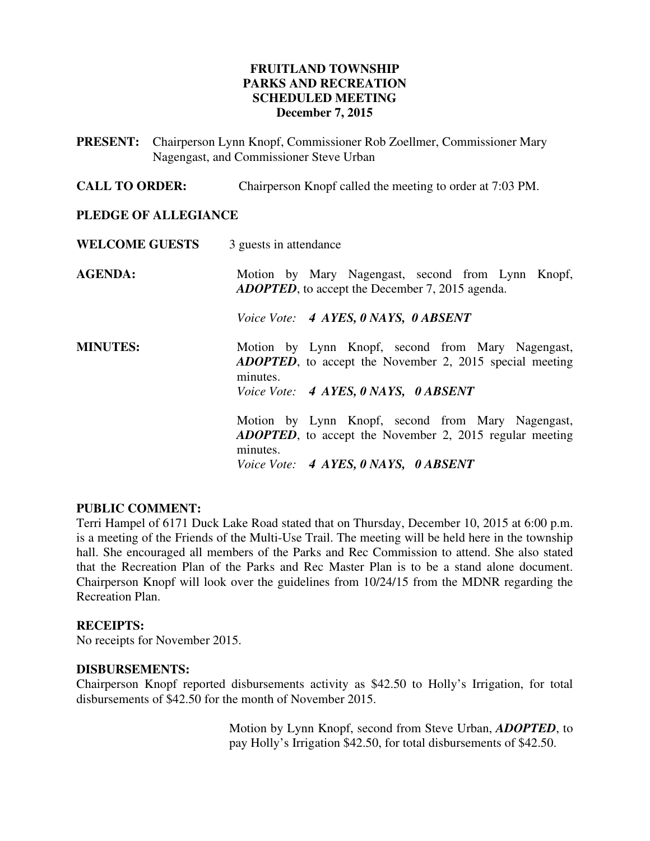# **FRUITLAND TOWNSHIP PARKS AND RECREATION SCHEDULED MEETING December 7, 2015**

**PRESENT:** Chairperson Lynn Knopf, Commissioner Rob Zoellmer, Commissioner Mary Nagengast, and Commissioner Steve Urban

**CALL TO ORDER:** Chairperson Knopf called the meeting to order at 7:03 PM.

### **PLEDGE OF ALLEGIANCE**

| <b>WELCOME GUESTS</b> | 3 guests in attendance                                                                                                           |  |  |
|-----------------------|----------------------------------------------------------------------------------------------------------------------------------|--|--|
| <b>AGENDA:</b>        | Motion by Mary Nagengast, second from Lynn Knopf,<br><b>ADOPTED</b> , to accept the December 7, 2015 agenda.                     |  |  |
|                       | Voice Vote: 4 AYES, 0 NAYS, 0 ABSENT                                                                                             |  |  |
| <b>MINUTES:</b>       | Motion by Lynn Knopf, second from Mary Nagengast,<br><b>ADOPTED</b> , to accept the November 2, 2015 special meeting<br>minutes. |  |  |
|                       | Voice Vote: 4 AYES, 0 NAYS, 0 ABSENT                                                                                             |  |  |
|                       | Motion by Lynn Knopf, second from Mary Nagengast,<br><b>ADOPTED</b> , to accept the November 2, 2015 regular meeting<br>minutes. |  |  |
|                       | Voice Vote: 4 AYES, 0 NAYS, 0 ABSENT                                                                                             |  |  |

# **PUBLIC COMMENT:**

Terri Hampel of 6171 Duck Lake Road stated that on Thursday, December 10, 2015 at 6:00 p.m. is a meeting of the Friends of the Multi-Use Trail. The meeting will be held here in the township hall. She encouraged all members of the Parks and Rec Commission to attend. She also stated that the Recreation Plan of the Parks and Rec Master Plan is to be a stand alone document. Chairperson Knopf will look over the guidelines from 10/24/15 from the MDNR regarding the Recreation Plan.

### **RECEIPTS:**

No receipts for November 2015.

#### **DISBURSEMENTS:**

Chairperson Knopf reported disbursements activity as \$42.50 to Holly's Irrigation, for total disbursements of \$42.50 for the month of November 2015.

> Motion by Lynn Knopf, second from Steve Urban, *ADOPTED*, to pay Holly's Irrigation \$42.50, for total disbursements of \$42.50.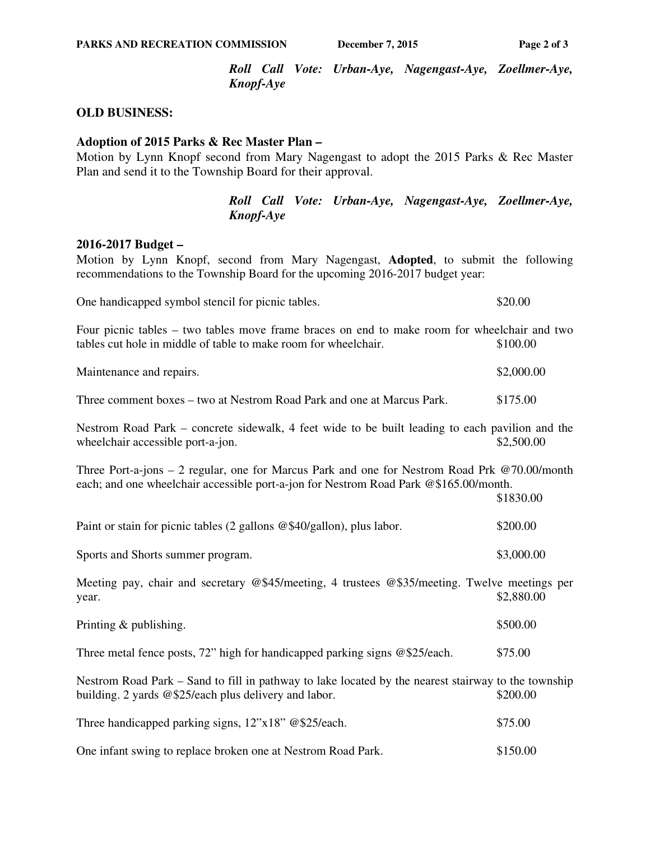*Roll Call Vote: Urban-Aye, Nagengast-Aye, Zoellmer-Aye, Knopf-Aye* 

### **OLD BUSINESS:**

### **Adoption of 2015 Parks & Rec Master Plan –**

Motion by Lynn Knopf second from Mary Nagengast to adopt the 2015 Parks & Rec Master Plan and send it to the Township Board for their approval.

> *Roll Call Vote: Urban-Aye, Nagengast-Aye, Zoellmer-Aye, Knopf-Aye*

#### **2016-2017 Budget –**

Motion by Lynn Knopf, second from Mary Nagengast, **Adopted**, to submit the following recommendations to the Township Board for the upcoming 2016-2017 budget year:

| One handicapped symbol stencil for picnic tables. | \$20.00 |
|---------------------------------------------------|---------|
|---------------------------------------------------|---------|

Four picnic tables – two tables move frame braces on end to make room for wheelchair and two tables cut hole in middle of table to make room for wheelchair. \$100.00

| Maintenance and repairs. | \$2,000.00 |
|--------------------------|------------|
|                          |            |

| Three comment boxes – two at Nestrom Road Park and one at Marcus Park. |  |  |  |  | \$175.00 |
|------------------------------------------------------------------------|--|--|--|--|----------|
|------------------------------------------------------------------------|--|--|--|--|----------|

Nestrom Road Park – concrete sidewalk, 4 feet wide to be built leading to each pavilion and the wheelchair accessible port-a-jon.  $$2,500.00$ 

Three Port-a-jons – 2 regular, one for Marcus Park and one for Nestrom Road Prk @70.00/month each; and one wheelchair accessible port-a-jon for Nestrom Road Park @\$165.00/month.

\$1830.00

| Paint or stain for picnic tables $(2 \text{ gallons } @$ \$40/gallon), plus labor. | \$200.00   |
|------------------------------------------------------------------------------------|------------|
| Sports and Shorts summer program.                                                  | \$3,000.00 |

Meeting pay, chair and secretary @\$45/meeting, 4 trustees @\$35/meeting. Twelve meetings per  $\text{year.}$   $\text{\$2,880.00}$ 

| Printing & publishing. | \$500.00 |
|------------------------|----------|
|------------------------|----------|

Three metal fence posts,  $72^{\circ}$  high for handicapped parking signs @\$25/each. \$75.00

Nestrom Road Park – Sand to fill in pathway to lake located by the nearest stairway to the township building. 2 yards @\$25/each plus delivery and labor. \$200.00

| Three handicapped parking signs, $12^{\prime\prime} \times 18^{\prime\prime}$ @\$25/each. |  | \$75.00 |
|-------------------------------------------------------------------------------------------|--|---------|
|-------------------------------------------------------------------------------------------|--|---------|

| One infant swing to replace broken one at Nestrom Road Park. | \$150.00 |
|--------------------------------------------------------------|----------|
|--------------------------------------------------------------|----------|